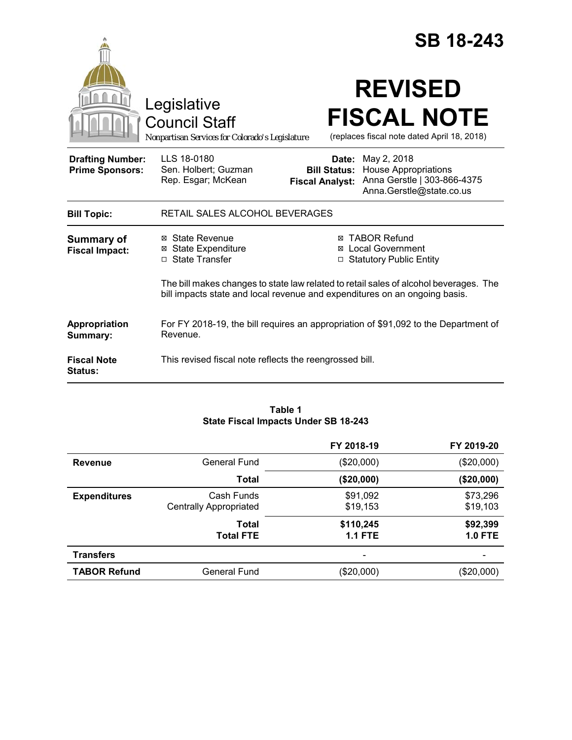|                                                   |                                                                                                                                                                     |                                 | <b>SB 18-243</b>                                                                                                   |
|---------------------------------------------------|---------------------------------------------------------------------------------------------------------------------------------------------------------------------|---------------------------------|--------------------------------------------------------------------------------------------------------------------|
|                                                   | Legislative<br><b>Council Staff</b><br>Nonpartisan Services for Colorado's Legislature                                                                              |                                 | <b>REVISED</b><br><b>FISCAL NOTE</b><br>(replaces fiscal note dated April 18, 2018)                                |
| <b>Drafting Number:</b><br><b>Prime Sponsors:</b> | LLS 18-0180<br>Sen. Holbert; Guzman<br>Rep. Esgar; McKean                                                                                                           | Date:<br><b>Fiscal Analyst:</b> | May 2, 2018<br><b>Bill Status:</b> House Appropriations<br>Anna Gerstle   303-866-4375<br>Anna.Gerstle@state.co.us |
| <b>Bill Topic:</b>                                | RETAIL SALES ALCOHOL BEVERAGES                                                                                                                                      |                                 |                                                                                                                    |
| <b>Summary of</b><br><b>Fiscal Impact:</b>        | ⊠ State Revenue<br><b>⊠</b> State Expenditure<br>□ State Transfer                                                                                                   | ⊠<br>□                          | <b>⊠ TABOR Refund</b><br><b>Local Government</b><br><b>Statutory Public Entity</b>                                 |
|                                                   | The bill makes changes to state law related to retail sales of alcohol beverages. The<br>bill impacts state and local revenue and expenditures on an ongoing basis. |                                 |                                                                                                                    |
| Appropriation<br>Summary:                         | For FY 2018-19, the bill requires an appropriation of \$91,092 to the Department of<br>Revenue.                                                                     |                                 |                                                                                                                    |
| <b>Fiscal Note</b><br><b>Status:</b>              | This revised fiscal note reflects the reengrossed bill.                                                                                                             |                                 |                                                                                                                    |

#### **Table 1 State Fiscal Impacts Under SB 18-243**

|                     |                                             | FY 2018-19                  | FY 2019-20            |
|---------------------|---------------------------------------------|-----------------------------|-----------------------|
| <b>Revenue</b>      | General Fund                                | $(\$20,000)$                | (\$20,000)            |
|                     | Total                                       | (\$20,000)                  | (\$20,000)            |
| <b>Expenditures</b> | Cash Funds<br><b>Centrally Appropriated</b> | \$91,092<br>\$19,153        | \$73,296<br>\$19,103  |
|                     | Total<br><b>Total FTE</b>                   | \$110,245<br><b>1.1 FTE</b> | \$92,399<br>$1.0$ FTE |
| <b>Transfers</b>    |                                             |                             |                       |
| <b>TABOR Refund</b> | <b>General Fund</b>                         | (\$20,000)                  | (\$20,000)            |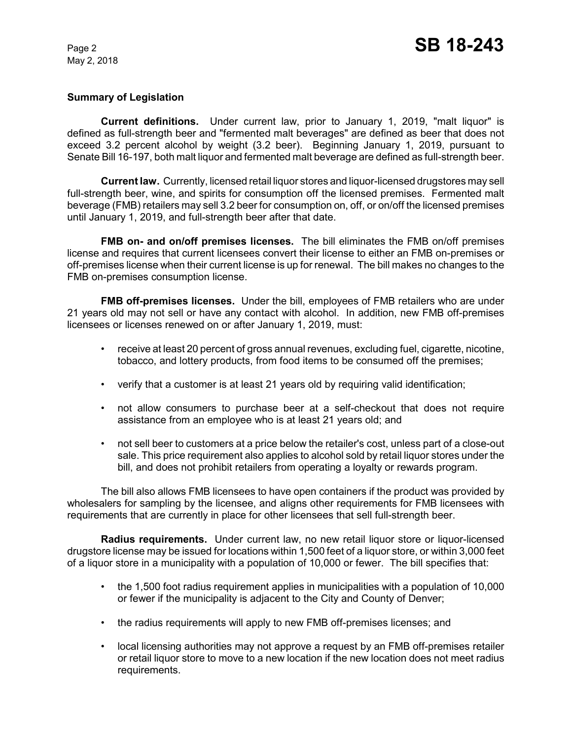# **Summary of Legislation**

**Current definitions.** Under current law, prior to January 1, 2019, "malt liquor" is defined as full-strength beer and "fermented malt beverages" are defined as beer that does not exceed 3.2 percent alcohol by weight (3.2 beer). Beginning January 1, 2019, pursuant to Senate Bill 16-197, both malt liquor and fermented malt beverage are defined as full-strength beer.

**Current law.** Currently, licensed retail liquor stores and liquor-licensed drugstores may sell full-strength beer, wine, and spirits for consumption off the licensed premises. Fermented malt beverage (FMB) retailers may sell 3.2 beer for consumption on, off, or on/off the licensed premises until January 1, 2019, and full-strength beer after that date.

**FMB on- and on/off premises licenses.** The bill eliminates the FMB on/off premises license and requires that current licensees convert their license to either an FMB on-premises or off-premises license when their current license is up for renewal. The bill makes no changes to the FMB on-premises consumption license.

**FMB off-premises licenses.** Under the bill, employees of FMB retailers who are under 21 years old may not sell or have any contact with alcohol. In addition, new FMB off-premises licensees or licenses renewed on or after January 1, 2019, must:

- receive at least 20 percent of gross annual revenues, excluding fuel, cigarette, nicotine, tobacco, and lottery products, from food items to be consumed off the premises;
- verify that a customer is at least 21 years old by requiring valid identification;
- not allow consumers to purchase beer at a self-checkout that does not require assistance from an employee who is at least 21 years old; and
- not sell beer to customers at a price below the retailer's cost, unless part of a close-out sale. This price requirement also applies to alcohol sold by retail liquor stores under the bill, and does not prohibit retailers from operating a loyalty or rewards program.

The bill also allows FMB licensees to have open containers if the product was provided by wholesalers for sampling by the licensee, and aligns other requirements for FMB licensees with requirements that are currently in place for other licensees that sell full-strength beer.

**Radius requirements.** Under current law, no new retail liquor store or liquor-licensed drugstore license may be issued for locations within 1,500 feet of a liquor store, or within 3,000 feet of a liquor store in a municipality with a population of 10,000 or fewer. The bill specifies that:

- the 1,500 foot radius requirement applies in municipalities with a population of 10,000 or fewer if the municipality is adjacent to the City and County of Denver;
- the radius requirements will apply to new FMB off-premises licenses; and
- local licensing authorities may not approve a request by an FMB off-premises retailer or retail liquor store to move to a new location if the new location does not meet radius requirements.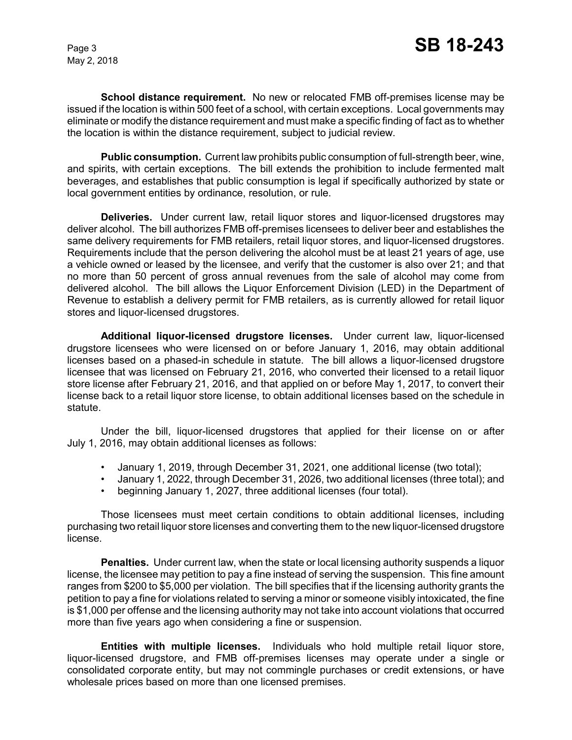**School distance requirement.** No new or relocated FMB off-premises license may be issued if the location is within 500 feet of a school, with certain exceptions. Local governments may eliminate or modify the distance requirement and must make a specific finding of fact as to whether the location is within the distance requirement, subject to judicial review.

**Public consumption.** Current law prohibits public consumption of full-strength beer, wine, and spirits, with certain exceptions. The bill extends the prohibition to include fermented malt beverages, and establishes that public consumption is legal if specifically authorized by state or local government entities by ordinance, resolution, or rule.

**Deliveries.** Under current law, retail liquor stores and liquor-licensed drugstores may deliver alcohol. The bill authorizes FMB off-premises licensees to deliver beer and establishes the same delivery requirements for FMB retailers, retail liquor stores, and liquor-licensed drugstores. Requirements include that the person delivering the alcohol must be at least 21 years of age, use a vehicle owned or leased by the licensee, and verify that the customer is also over 21; and that no more than 50 percent of gross annual revenues from the sale of alcohol may come from delivered alcohol. The bill allows the Liquor Enforcement Division (LED) in the Department of Revenue to establish a delivery permit for FMB retailers, as is currently allowed for retail liquor stores and liquor-licensed drugstores.

**Additional liquor-licensed drugstore licenses.** Under current law, liquor-licensed drugstore licensees who were licensed on or before January 1, 2016, may obtain additional licenses based on a phased-in schedule in statute. The bill allows a liquor-licensed drugstore licensee that was licensed on February 21, 2016, who converted their licensed to a retail liquor store license after February 21, 2016, and that applied on or before May 1, 2017, to convert their license back to a retail liquor store license, to obtain additional licenses based on the schedule in statute.

Under the bill, liquor-licensed drugstores that applied for their license on or after July 1, 2016, may obtain additional licenses as follows:

- January 1, 2019, through December 31, 2021, one additional license (two total);
- January 1, 2022, through December 31, 2026, two additional licenses (three total); and
- beginning January 1, 2027, three additional licenses (four total).

Those licensees must meet certain conditions to obtain additional licenses, including purchasing two retail liquor store licenses and converting them to the new liquor-licensed drugstore license.

**Penalties.** Under current law, when the state or local licensing authority suspends a liquor license, the licensee may petition to pay a fine instead of serving the suspension. This fine amount ranges from \$200 to \$5,000 per violation. The bill specifies that if the licensing authority grants the petition to pay a fine for violations related to serving a minor or someone visibly intoxicated, the fine is \$1,000 per offense and the licensing authority may not take into account violations that occurred more than five years ago when considering a fine or suspension.

**Entities with multiple licenses.** Individuals who hold multiple retail liquor store, liquor-licensed drugstore, and FMB off-premises licenses may operate under a single or consolidated corporate entity, but may not commingle purchases or credit extensions, or have wholesale prices based on more than one licensed premises.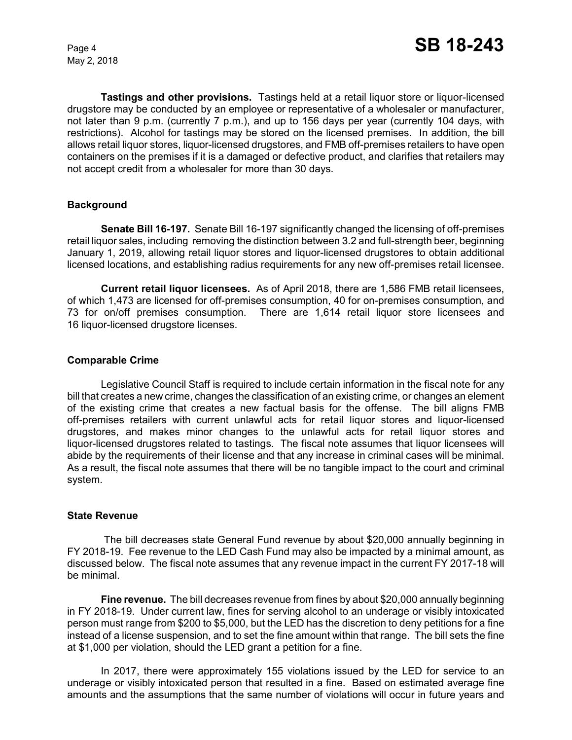**Tastings and other provisions.** Tastings held at a retail liquor store or liquor-licensed drugstore may be conducted by an employee or representative of a wholesaler or manufacturer, not later than 9 p.m. (currently 7 p.m.), and up to 156 days per year (currently 104 days, with restrictions). Alcohol for tastings may be stored on the licensed premises. In addition, the bill allows retail liquor stores, liquor-licensed drugstores, and FMB off-premises retailers to have open containers on the premises if it is a damaged or defective product, and clarifies that retailers may not accept credit from a wholesaler for more than 30 days.

## **Background**

**Senate Bill 16-197.** Senate Bill 16-197 significantly changed the licensing of off-premises retail liquor sales, including removing the distinction between 3.2 and full-strength beer, beginning January 1, 2019, allowing retail liquor stores and liquor-licensed drugstores to obtain additional licensed locations, and establishing radius requirements for any new off-premises retail licensee.

**Current retail liquor licensees.** As of April 2018, there are 1,586 FMB retail licensees, of which 1,473 are licensed for off-premises consumption, 40 for on-premises consumption, and 73 for on/off premises consumption. There are 1,614 retail liquor store licensees and 16 liquor-licensed drugstore licenses.

## **Comparable Crime**

Legislative Council Staff is required to include certain information in the fiscal note for any bill that creates a new crime, changes the classification of an existing crime, or changes an element of the existing crime that creates a new factual basis for the offense. The bill aligns FMB off-premises retailers with current unlawful acts for retail liquor stores and liquor-licensed drugstores, and makes minor changes to the unlawful acts for retail liquor stores and liquor-licensed drugstores related to tastings. The fiscal note assumes that liquor licensees will abide by the requirements of their license and that any increase in criminal cases will be minimal. As a result, the fiscal note assumes that there will be no tangible impact to the court and criminal system.

## **State Revenue**

The bill decreases state General Fund revenue by about \$20,000 annually beginning in FY 2018-19. Fee revenue to the LED Cash Fund may also be impacted by a minimal amount, as discussed below. The fiscal note assumes that any revenue impact in the current FY 2017-18 will be minimal.

**Fine revenue.** The bill decreases revenue from fines by about \$20,000 annually beginning in FY 2018-19. Under current law, fines for serving alcohol to an underage or visibly intoxicated person must range from \$200 to \$5,000, but the LED has the discretion to deny petitions for a fine instead of a license suspension, and to set the fine amount within that range. The bill sets the fine at \$1,000 per violation, should the LED grant a petition for a fine.

In 2017, there were approximately 155 violations issued by the LED for service to an underage or visibly intoxicated person that resulted in a fine. Based on estimated average fine amounts and the assumptions that the same number of violations will occur in future years and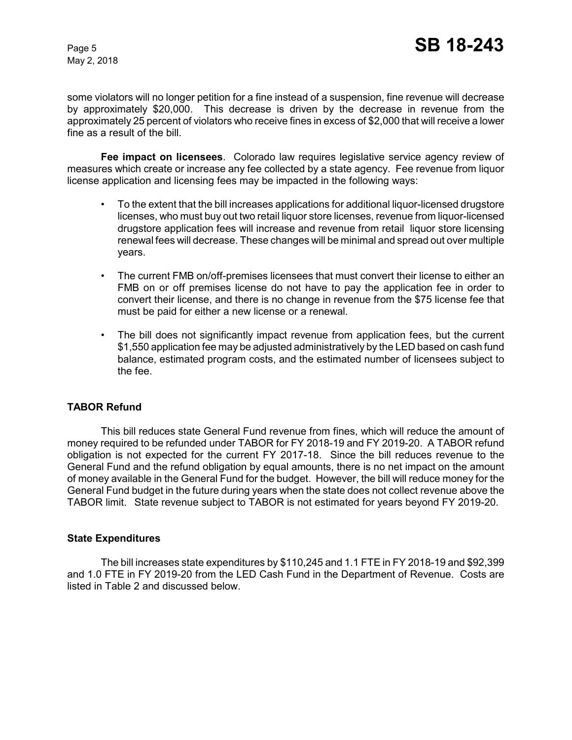some violators will no longer petition for a fine instead of a suspension, fine revenue will decrease by approximately \$20,000. This decrease is driven by the decrease in revenue from the approximately 25 percent of violators who receive fines in excess of \$2,000 that will receive a lower fine as a result of the bill.

**Fee impact on licensees**. Colorado law requires legislative service agency review of measures which create or increase any fee collected by a state agency. Fee revenue from liquor license application and licensing fees may be impacted in the following ways:

- To the extent that the bill increases applications for additional liquor-licensed drugstore licenses, who must buy out two retail liquor store licenses, revenue from liquor-licensed drugstore application fees will increase and revenue from retail liquor store licensing renewal fees will decrease. These changes will be minimal and spread out over multiple years.
- The current FMB on/off-premises licensees that must convert their license to either an FMB on or off premises license do not have to pay the application fee in order to convert their license, and there is no change in revenue from the \$75 license fee that must be paid for either a new license or a renewal.
- The bill does not significantly impact revenue from application fees, but the current \$1,550 application fee may be adjusted administratively by the LED based on cash fund balance, estimated program costs, and the estimated number of licensees subject to the fee.

## **TABOR Refund**

This bill reduces state General Fund revenue from fines, which will reduce the amount of money required to be refunded under TABOR for FY 2018-19 and FY 2019-20. A TABOR refund obligation is not expected for the current FY 2017-18. Since the bill reduces revenue to the General Fund and the refund obligation by equal amounts, there is no net impact on the amount of money available in the General Fund for the budget. However, the bill will reduce money for the General Fund budget in the future during years when the state does not collect revenue above the TABOR limit. State revenue subject to TABOR is not estimated for years beyond FY 2019-20.

## **State Expenditures**

The bill increases state expenditures by \$110,245 and 1.1 FTE in FY 2018-19 and \$92,399 and 1.0 FTE in FY 2019-20 from the LED Cash Fund in the Department of Revenue. Costs are listed in Table 2 and discussed below.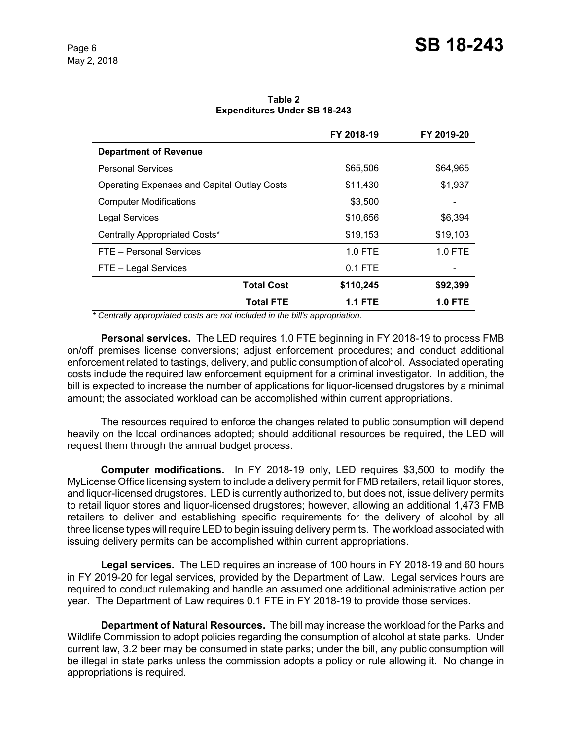|                                             | FY 2018-19     | FY 2019-20     |  |
|---------------------------------------------|----------------|----------------|--|
| <b>Department of Revenue</b>                |                |                |  |
| <b>Personal Services</b>                    | \$65,506       | \$64,965       |  |
| Operating Expenses and Capital Outlay Costs | \$11,430       | \$1,937        |  |
| <b>Computer Modifications</b>               | \$3,500        |                |  |
| Legal Services                              | \$10,656       | \$6,394        |  |
| Centrally Appropriated Costs*               | \$19,153       | \$19,103       |  |
| FTE - Personal Services                     | 1.0 FTE        | 1.0 FTE        |  |
| FTE - Legal Services                        | 0.1 FTE        |                |  |
| <b>Total Cost</b>                           | \$110,245      | \$92,399       |  |
| <b>Total FTE</b>                            | <b>1.1 FTE</b> | <b>1.0 FTE</b> |  |

**Table 2 Expenditures Under SB 18-243**

 *\* Centrally appropriated costs are not included in the bill's appropriation.*

**Personal services.** The LED requires 1.0 FTE beginning in FY 2018-19 to process FMB on/off premises license conversions; adjust enforcement procedures; and conduct additional enforcement related to tastings, delivery, and public consumption of alcohol. Associated operating costs include the required law enforcement equipment for a criminal investigator. In addition, the bill is expected to increase the number of applications for liquor-licensed drugstores by a minimal amount; the associated workload can be accomplished within current appropriations.

The resources required to enforce the changes related to public consumption will depend heavily on the local ordinances adopted; should additional resources be required, the LED will request them through the annual budget process.

**Computer modifications.** In FY 2018-19 only, LED requires \$3,500 to modify the MyLicense Office licensing system to include a delivery permit for FMB retailers, retail liquor stores, and liquor-licensed drugstores. LED is currently authorized to, but does not, issue delivery permits to retail liquor stores and liquor-licensed drugstores; however, allowing an additional 1,473 FMB retailers to deliver and establishing specific requirements for the delivery of alcohol by all three license types will require LED to begin issuing delivery permits. The workload associated with issuing delivery permits can be accomplished within current appropriations.

**Legal services.** The LED requires an increase of 100 hours in FY 2018-19 and 60 hours in FY 2019-20 for legal services, provided by the Department of Law. Legal services hours are required to conduct rulemaking and handle an assumed one additional administrative action per year. The Department of Law requires 0.1 FTE in FY 2018-19 to provide those services.

**Department of Natural Resources.** The bill may increase the workload for the Parks and Wildlife Commission to adopt policies regarding the consumption of alcohol at state parks. Under current law, 3.2 beer may be consumed in state parks; under the bill, any public consumption will be illegal in state parks unless the commission adopts a policy or rule allowing it. No change in appropriations is required.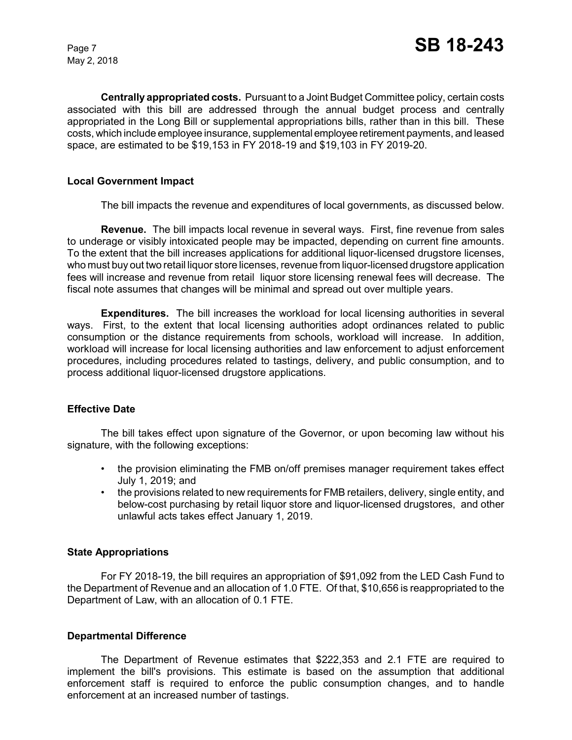**Centrally appropriated costs.** Pursuant to a Joint Budget Committee policy, certain costs associated with this bill are addressed through the annual budget process and centrally appropriated in the Long Bill or supplemental appropriations bills, rather than in this bill. These costs, which include employee insurance, supplemental employee retirement payments, and leased space, are estimated to be \$19,153 in FY 2018-19 and \$19,103 in FY 2019-20.

## **Local Government Impact**

The bill impacts the revenue and expenditures of local governments, as discussed below.

**Revenue.** The bill impacts local revenue in several ways. First, fine revenue from sales to underage or visibly intoxicated people may be impacted, depending on current fine amounts. To the extent that the bill increases applications for additional liquor-licensed drugstore licenses, who must buy out two retail liquor store licenses, revenue from liquor-licensed drugstore application fees will increase and revenue from retail liquor store licensing renewal fees will decrease. The fiscal note assumes that changes will be minimal and spread out over multiple years.

**Expenditures.** The bill increases the workload for local licensing authorities in several ways. First, to the extent that local licensing authorities adopt ordinances related to public consumption or the distance requirements from schools, workload will increase. In addition, workload will increase for local licensing authorities and law enforcement to adjust enforcement procedures, including procedures related to tastings, delivery, and public consumption, and to process additional liquor-licensed drugstore applications.

## **Effective Date**

The bill takes effect upon signature of the Governor, or upon becoming law without his signature, with the following exceptions:

- the provision eliminating the FMB on/off premises manager requirement takes effect July 1, 2019; and
- the provisions related to new requirements for FMB retailers, delivery, single entity, and below-cost purchasing by retail liquor store and liquor-licensed drugstores, and other unlawful acts takes effect January 1, 2019.

#### **State Appropriations**

For FY 2018-19, the bill requires an appropriation of \$91,092 from the LED Cash Fund to the Department of Revenue and an allocation of 1.0 FTE. Of that, \$10,656 is reappropriated to the Department of Law, with an allocation of 0.1 FTE.

#### **Departmental Difference**

The Department of Revenue estimates that \$222,353 and 2.1 FTE are required to implement the bill's provisions. This estimate is based on the assumption that additional enforcement staff is required to enforce the public consumption changes, and to handle enforcement at an increased number of tastings.